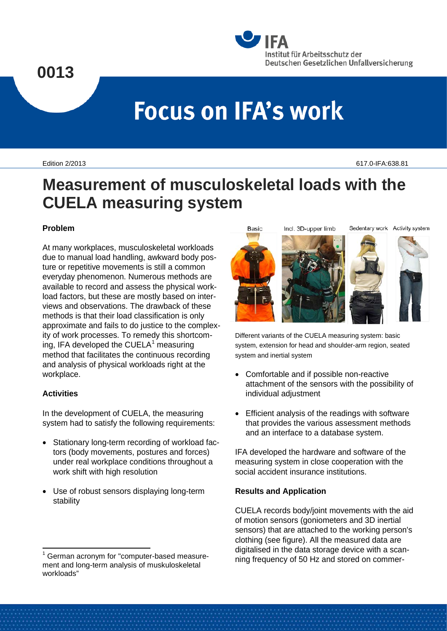## **0013**



# **Focus on IFA's work**

Edition 2/2013 617.0-IFA:638.81

### **Measurement of musculoskeletal loads with the CUELA measuring system**

**Basic** 

#### **Problem**

At many workplaces, musculoskeletal workloads due to manual load handling, awkward body posture or repetitive movements is still a common everyday phenomenon. Numerous methods are available to record and assess the physical workload factors, but these are mostly based on interviews and observations. The drawback of these methods is that their load classification is only approximate and fails to do justice to the complexity of work processes. To remedy this shortcoming, IFA developed the CUELA $<sup>1</sup>$  $<sup>1</sup>$  $<sup>1</sup>$  measuring</sup> method that facilitates the continuous recording and analysis of physical workloads right at the workplace.

#### **Activities**

In the development of CUELA, the measuring system had to satisfy the following requirements:

- Stationary long-term recording of workload factors (body movements, postures and forces) under real workplace conditions throughout a work shift with high resolution
- Use of robust sensors displaying long-term stability

Incl. 3D-upper limb









Different variants of the CUELA measuring system: basic system, extension for head and shoulder-arm region, seated system and inertial system

- Comfortable and if possible non-reactive attachment of the sensors with the possibility of individual adjustment
- Efficient analysis of the readings with software that provides the various assessment methods and an interface to a database system.

IFA developed the hardware and software of the measuring system in close cooperation with the social accident insurance institutions.

#### **Results and Application**

CUELA records body/joint movements with the aid of motion sensors (goniometers and 3D inertial sensors) that are attached to the working person's clothing (see figure). All the measured data are digitalised in the data storage device with a scanning frequency of 50 Hz and stored on commer-

<span id="page-0-0"></span> <sup>1</sup> German acronym for "computer-based measurement and long-term analysis of muskuloskeletal workloads"